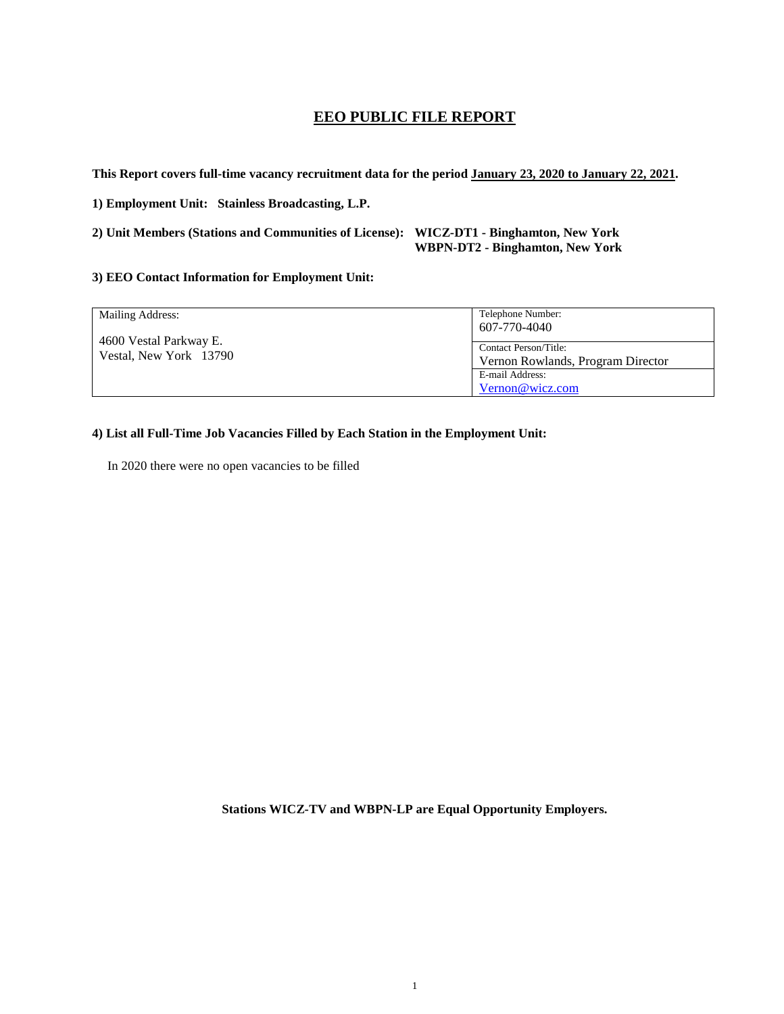# **EEO PUBLIC FILE REPORT**

**This Report covers full-time vacancy recruitment data for the period January 23, 2020 to January 22, 2021.**

**1) Employment Unit: Stainless Broadcasting, L.P.**

**2) Unit Members (Stations and Communities of License): WICZ-DT1 - Binghamton, New York WBPN-DT2 - Binghamton, New York**

## **3) EEO Contact Information for Employment Unit:**

| Mailing Address:                                 | Telephone Number:                 |
|--------------------------------------------------|-----------------------------------|
| 4600 Vestal Parkway E.<br>Vestal, New York 13790 | 607-770-4040                      |
|                                                  |                                   |
|                                                  | Contact Person/Title:             |
|                                                  | Vernon Rowlands, Program Director |
|                                                  | E-mail Address:                   |
|                                                  | Vernon@wicz.com                   |

# **4) List all Full-Time Job Vacancies Filled by Each Station in the Employment Unit:**

In 2020 there were no open vacancies to be filled

**Stations WICZ-TV and WBPN-LP are Equal Opportunity Employers.**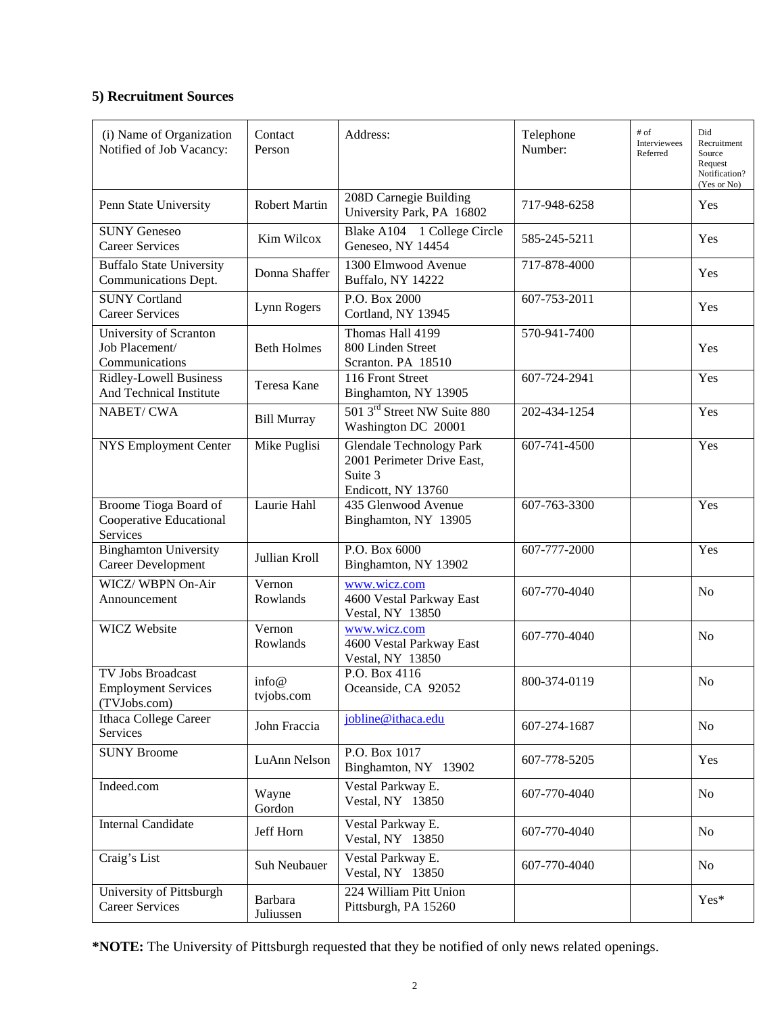# **5) Recruitment Sources**

| (i) Name of Organization<br>Notified of Job Vacancy:            | Contact<br>Person    | Address:                                                                                       | Telephone<br>Number: | # of<br>Interviewees<br>Referred | Did<br>Recruitment<br>Source<br>Request<br>Notification?<br>(Yes or No) |
|-----------------------------------------------------------------|----------------------|------------------------------------------------------------------------------------------------|----------------------|----------------------------------|-------------------------------------------------------------------------|
| Penn State University                                           | <b>Robert Martin</b> | 208D Carnegie Building<br>University Park, PA 16802                                            | 717-948-6258         |                                  | Yes                                                                     |
| <b>SUNY Geneseo</b><br><b>Career Services</b>                   | Kim Wilcox           | Blake A104 1 College Circle<br>Geneseo, NY 14454                                               | 585-245-5211         |                                  | Yes                                                                     |
| <b>Buffalo State University</b><br>Communications Dept.         | Donna Shaffer        | 1300 Elmwood Avenue<br><b>Buffalo, NY 14222</b>                                                | 717-878-4000         |                                  | Yes                                                                     |
| <b>SUNY Cortland</b><br><b>Career Services</b>                  | Lynn Rogers          | P.O. Box 2000<br>Cortland, NY 13945                                                            | 607-753-2011         |                                  | Yes                                                                     |
| University of Scranton<br>Job Placement/<br>Communications      | <b>Beth Holmes</b>   | Thomas Hall 4199<br>800 Linden Street<br>Scranton. PA 18510                                    | 570-941-7400         |                                  | Yes                                                                     |
| <b>Ridley-Lowell Business</b><br>And Technical Institute        | Teresa Kane          | 116 Front Street<br>Binghamton, NY 13905                                                       | 607-724-2941         |                                  | Yes                                                                     |
| NABET/CWA                                                       | <b>Bill Murray</b>   | 501 3 <sup>rd</sup> Street NW Suite 880<br>Washington DC 20001                                 | 202-434-1254         |                                  | Yes                                                                     |
| NYS Employment Center                                           | Mike Puglisi         | <b>Glendale Technology Park</b><br>2001 Perimeter Drive East,<br>Suite 3<br>Endicott, NY 13760 | 607-741-4500         |                                  | Yes                                                                     |
| Broome Tioga Board of<br>Cooperative Educational<br>Services    | Laurie Hahl          | 435 Glenwood Avenue<br>Binghamton, NY 13905                                                    | 607-763-3300         |                                  | Yes                                                                     |
| <b>Binghamton University</b><br>Career Development              | Jullian Kroll        | P.O. Box 6000<br>Binghamton, NY 13902                                                          | 607-777-2000         |                                  | Yes                                                                     |
| WICZ/WBPN On-Air<br>Announcement                                | Vernon<br>Rowlands   | www.wicz.com<br>4600 Vestal Parkway East<br>Vestal, NY 13850                                   | 607-770-4040         |                                  | N <sub>o</sub>                                                          |
| <b>WICZ Website</b>                                             | Vernon<br>Rowlands   | www.wicz.com<br>4600 Vestal Parkway East<br>Vestal, NY 13850                                   | 607-770-4040         |                                  | N <sub>o</sub>                                                          |
| TV Jobs Broadcast<br><b>Employment Services</b><br>(TVJobs.com) | info@<br>tvjobs.com  | P.O. Box 4116<br>Oceanside, CA 92052                                                           | 800-374-0119         |                                  | No                                                                      |
| Ithaca College Career<br>Services                               | John Fraccia         | jobline@ithaca.edu                                                                             | 607-274-1687         |                                  | N <sub>o</sub>                                                          |
| <b>SUNY Broome</b>                                              | LuAnn Nelson         | P.O. Box 1017<br>Binghamton, NY 13902                                                          | 607-778-5205         |                                  | Yes                                                                     |
| Indeed.com                                                      | Wayne<br>Gordon      | Vestal Parkway E.<br>Vestal, NY 13850                                                          | 607-770-4040         |                                  | N <sub>o</sub>                                                          |
| <b>Internal Candidate</b>                                       | Jeff Horn            | Vestal Parkway E.<br>Vestal, NY 13850                                                          | 607-770-4040         |                                  | No                                                                      |
| Craig's List                                                    | Suh Neubauer         | Vestal Parkway E.<br>Vestal, NY 13850                                                          | 607-770-4040         |                                  | No                                                                      |
| University of Pittsburgh<br><b>Career Services</b>              | Barbara<br>Juliussen | 224 William Pitt Union<br>Pittsburgh, PA 15260                                                 |                      |                                  | Yes*                                                                    |

**\*NOTE:** The University of Pittsburgh requested that they be notified of only news related openings.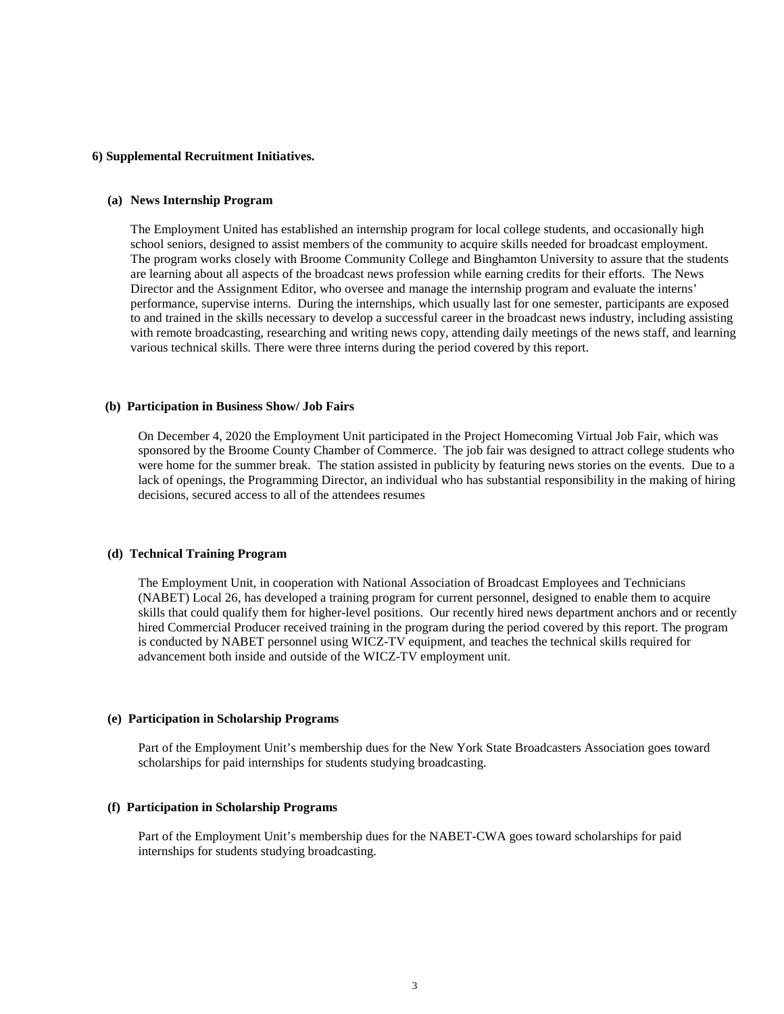## **6) Supplemental Recruitment Initiatives.**

#### **(a) News Internship Program**

The Employment United has established an internship program for local college students, and occasionally high school seniors, designed to assist members of the community to acquire skills needed for broadcast employment. The program works closely with Broome Community College and Binghamton University to assure that the students are learning about all aspects of the broadcast news profession while earning credits for their efforts. The News Director and the Assignment Editor, who oversee and manage the internship program and evaluate the interns' performance, supervise interns. During the internships, which usually last for one semester, participants are exposed to and trained in the skills necessary to develop a successful career in the broadcast news industry, including assisting with remote broadcasting, researching and writing news copy, attending daily meetings of the news staff, and learning various technical skills. There were three interns during the period covered by this report.

#### **(b) Participation in Business Show/ Job Fairs**

On December 4, 2020 the Employment Unit participated in the Project Homecoming Virtual Job Fair, which was sponsored by the Broome County Chamber of Commerce. The job fair was designed to attract college students who were home for the summer break. The station assisted in publicity by featuring news stories on the events. Due to a lack of openings, the Programming Director, an individual who has substantial responsibility in the making of hiring decisions, secured access to all of the attendees resumes

### **(d) Technical Training Program**

The Employment Unit, in cooperation with National Association of Broadcast Employees and Technicians (NABET) Local 26, has developed a training program for current personnel, designed to enable them to acquire skills that could qualify them for higher-level positions. Our recently hired news department anchors and or recently hired Commercial Producer received training in the program during the period covered by this report. The program is conducted by NABET personnel using WICZ-TV equipment, and teaches the technical skills required for advancement both inside and outside of the WICZ-TV employment unit.

#### **(e) Participation in Scholarship Programs**

Part of the Employment Unit's membership dues for the New York State Broadcasters Association goes toward scholarships for paid internships for students studying broadcasting.

#### **(f) Participation in Scholarship Programs**

Part of the Employment Unit's membership dues for the NABET-CWA goes toward scholarships for paid internships for students studying broadcasting.